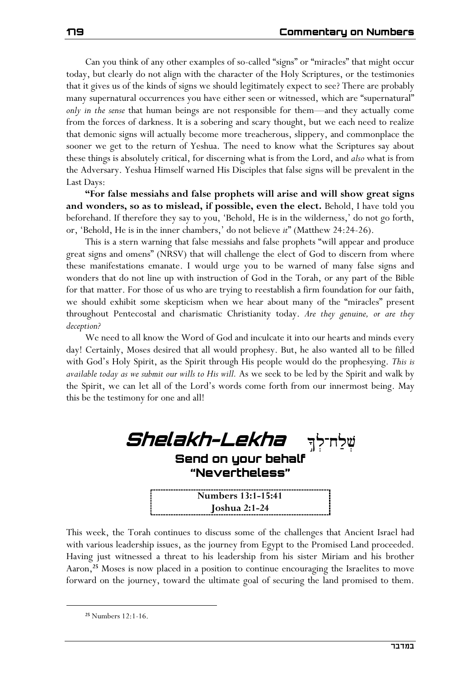Can you think of any other examples of so-called "signs" or "miracles" that might occur today, but clearly do not align with the character of the Holy Scriptures, or the testimonies that it gives us of the kinds of signs we should legitimately expect to see? There are probably many supernatural occurrences you have either seen or witnessed, which are "supernatural" *only in the sense* that human beings are not responsible for them—and they actually come from the forces of darkness. It is a sobering and scary thought, but we each need to realize that demonic signs will actually become more treacherous, slippery, and commonplace the sooner we get to the return of Yeshua. The need to know what the Scriptures say about these things is absolutely critical, for discerning what is from the Lord, and *also* what is from the Adversary. Yeshua Himself warned His Disciples that false signs will be prevalent in the Last Days:

**"For false messiahs and false prophets will arise and will show great signs and wonders, so as to mislead, if possible, even the elect.** Behold, I have told you beforehand. If therefore they say to you, 'Behold, He is in the wilderness,' do not go forth, or, 'Behold, He is in the inner chambers,' do not believe *it*" (Matthew 24:24-26).

This is a stern warning that false messiahs and false prophets "will appear and produce great signs and omens" (NRSV) that will challenge the elect of God to discern from where these manifestations emanate. I would urge you to be warned of many false signs and wonders that do not line up with instruction of God in the Torah, or any part of the Bible for that matter. For those of us who are trying to reestablish a firm foundation for our faith, we should exhibit some skepticism when we hear about many of the "miracles" present throughout Pentecostal and charismatic Christianity today. *Are they genuine, or are they deception?*

We need to all know the Word of God and inculcate it into our hearts and minds every day! Certainly, Moses desired that all would prophesy. But, he also wanted all to be filled with God's Holy Spirit, as the Spirit through His people would do the prophesying. *This is available today as we submit our wills to His will.* As we seek to be led by the Spirit and walk by the Spirit, we can let all of the Lord's words come forth from our innermost being. May this be the testimony for one and all!

| <i>Shelakh-Lekha</i> shriy<br>Send on your behalf<br>"Nevertheless" |  |
|---------------------------------------------------------------------|--|
| Numbers 13:1-15:41                                                  |  |
| <b>Joshua 2:1-24</b>                                                |  |

This week, the Torah continues to discuss some of the challenges that Ancient Israel had with various leadership issues, as the journey from Egypt to the Promised Land proceeded. Having just witnessed a threat to his leadership from his sister Miriam and his brother Aaron,**<sup>25</sup>** Moses is now placed in a position to continue encouraging the Israelites to move forward on the journey, toward the ultimate goal of securing the land promised to them.

**<sup>25</sup>** Numbers 12:1-16.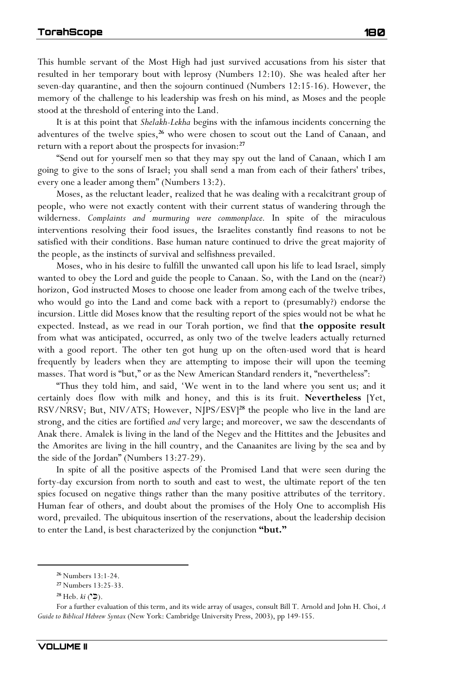This humble servant of the Most High had just survived accusations from his sister that resulted in her temporary bout with leprosy (Numbers 12:10). She was healed after her seven-day quarantine, and then the sojourn continued (Numbers 12:15-16). However, the memory of the challenge to his leadership was fresh on his mind, as Moses and the people stood at the threshold of entering into the Land.

It is at this point that *Shelakh-Lekha* begins with the infamous incidents concerning the adventures of the twelve spies,**<sup>26</sup>** who were chosen to scout out the Land of Canaan, and return with a report about the prospects for invasion:**<sup>27</sup>**

"Send out for yourself men so that they may spy out the land of Canaan, which I am going to give to the sons of Israel; you shall send a man from each of their fathers' tribes, every one a leader among them" (Numbers 13:2).

Moses, as the reluctant leader, realized that he was dealing with a recalcitrant group of people, who were not exactly content with their current status of wandering through the wilderness. *Complaints and murmuring were commonplace.* In spite of the miraculous interventions resolving their food issues, the Israelites constantly find reasons to not be satisfied with their conditions. Base human nature continued to drive the great majority of the people, as the instincts of survival and selfishness prevailed.

Moses, who in his desire to fulfill the unwanted call upon his life to lead Israel, simply wanted to obey the Lord and guide the people to Canaan. So, with the Land on the (near?) horizon, God instructed Moses to choose one leader from among each of the twelve tribes, who would go into the Land and come back with a report to (presumably?) endorse the incursion. Little did Moses know that the resulting report of the spies would not be what he expected. Instead, as we read in our Torah portion, we find that **the opposite result** from what was anticipated, occurred, as only two of the twelve leaders actually returned with a good report. The other ten got hung up on the often-used word that is heard frequently by leaders when they are attempting to impose their will upon the teeming masses. That word is "but," or as the New American Standard renders it, "nevertheless":

"Thus they told him, and said, 'We went in to the land where you sent us; and it certainly does flow with milk and honey, and this is its fruit. **Nevertheless** [Yet, RSV/NRSV; But, NIV/ATS; However, NJPS/ESV]**<sup>28</sup>** the people who live in the land are strong, and the cities are fortified *and* very large; and moreover, we saw the descendants of Anak there. Amalek is living in the land of the Negev and the Hittites and the Jebusites and the Amorites are living in the hill country, and the Canaanites are living by the sea and by the side of the Jordan" (Numbers 13:27-29).

In spite of all the positive aspects of the Promised Land that were seen during the forty-day excursion from north to south and east to west, the ultimate report of the ten spies focused on negative things rather than the many positive attributes of the territory. Human fear of others, and doubt about the promises of the Holy One to accomplish His word, prevailed. The ubiquitous insertion of the reservations, about the leadership decision to enter the Land, is best characterized by the conjunction **"but."**

**<sup>26</sup>** Numbers 13:1-24.

**<sup>27</sup>** Numbers 13:25-33.

<sup>&</sup>lt;sup>28</sup> Heb. *ki* (\*⊅).

For a further evaluation of this term, and its wide array of usages, consult Bill T. Arnold and John H. Choi, *A Guide to Biblical Hebrew Syntax* (New York: Cambridge University Press, 2003), pp 149-155.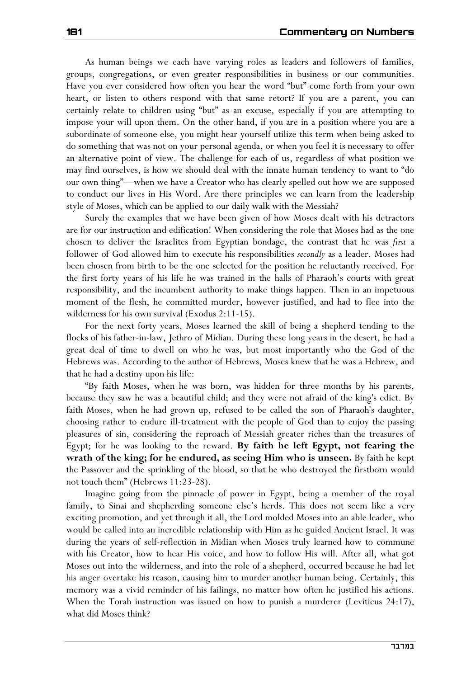As human beings we each have varying roles as leaders and followers of families, groups, congregations, or even greater responsibilities in business or our communities. Have you ever considered how often you hear the word "but" come forth from your own heart, or listen to others respond with that same retort? If you are a parent, you can certainly relate to children using "but" as an excuse, especially if you are attempting to impose your will upon them. On the other hand, if you are in a position where you are a subordinate of someone else, you might hear yourself utilize this term when being asked to do something that was not on your personal agenda, or when you feel it is necessary to offer an alternative point of view. The challenge for each of us, regardless of what position we may find ourselves, is how we should deal with the innate human tendency to want to "do our own thing"—when we have a Creator who has clearly spelled out how we are supposed to conduct our lives in His Word. Are there principles we can learn from the leadership style of Moses, which can be applied to our daily walk with the Messiah?

Surely the examples that we have been given of how Moses dealt with his detractors are for our instruction and edification! When considering the role that Moses had as the one chosen to deliver the Israelites from Egyptian bondage, the contrast that he was *first* a follower of God allowed him to execute his responsibilities *secondly* as a leader. Moses had been chosen from birth to be the one selected for the position he reluctantly received. For the first forty years of his life he was trained in the halls of Pharaoh's courts with great responsibility, and the incumbent authority to make things happen. Then in an impetuous moment of the flesh, he committed murder, however justified, and had to flee into the wilderness for his own survival (Exodus 2:11-15).

For the next forty years, Moses learned the skill of being a shepherd tending to the flocks of his father-in-law, Jethro of Midian. During these long years in the desert, he had a great deal of time to dwell on who he was, but most importantly who the God of the Hebrews was. According to the author of Hebrews, Moses knew that he was a Hebrew, and that he had a destiny upon his life:

"By faith Moses, when he was born, was hidden for three months by his parents, because they saw he was a beautiful child; and they were not afraid of the king's edict. By faith Moses, when he had grown up, refused to be called the son of Pharaoh's daughter, choosing rather to endure ill-treatment with the people of God than to enjoy the passing pleasures of sin, considering the reproach of Messiah greater riches than the treasures of Egypt; for he was looking to the reward. **By faith he left Egypt, not fearing the wrath of the king; for he endured, as seeing Him who is unseen.** By faith he kept the Passover and the sprinkling of the blood, so that he who destroyed the firstborn would not touch them" (Hebrews 11:23-28).

Imagine going from the pinnacle of power in Egypt, being a member of the royal family, to Sinai and shepherding someone else's herds. This does not seem like a very exciting promotion, and yet through it all, the Lord molded Moses into an able leader, who would be called into an incredible relationship with Him as he guided Ancient Israel. It was during the years of self-reflection in Midian when Moses truly learned how to commune with his Creator, how to hear His voice, and how to follow His will. After all, what got Moses out into the wilderness, and into the role of a shepherd, occurred because he had let his anger overtake his reason, causing him to murder another human being. Certainly, this memory was a vivid reminder of his failings, no matter how often he justified his actions. When the Torah instruction was issued on how to punish a murderer (Leviticus 24:17), what did Moses think?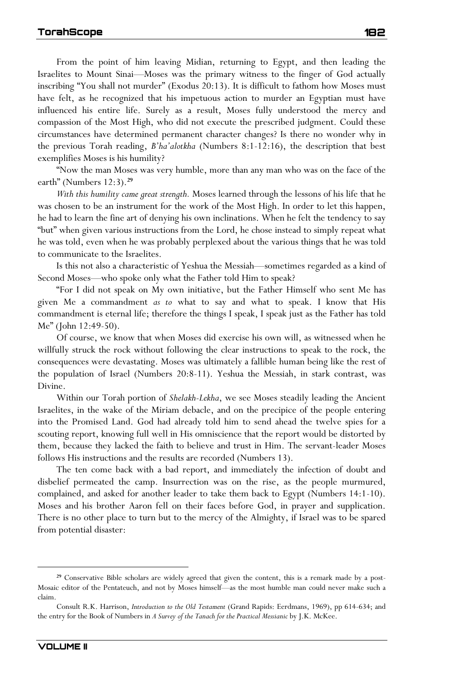From the point of him leaving Midian, returning to Egypt, and then leading the Israelites to Mount Sinai—Moses was the primary witness to the finger of God actually inscribing "You shall not murder" (Exodus 20:13). It is difficult to fathom how Moses must have felt, as he recognized that his impetuous action to murder an Egyptian must have influenced his entire life. Surely as a result, Moses fully understood the mercy and compassion of the Most High, who did not execute the prescribed judgment. Could these circumstances have determined permanent character changes? Is there no wonder why in the previous Torah reading, *B'ha'alotkha* (Numbers 8:1-12:16), the description that best exemplifies Moses is his humility?

"Now the man Moses was very humble, more than any man who was on the face of the earth" (Numbers 12:3).**<sup>29</sup>**

*With this humility came great strength.* Moses learned through the lessons of his life that he was chosen to be an instrument for the work of the Most High. In order to let this happen, he had to learn the fine art of denying his own inclinations. When he felt the tendency to say "but" when given various instructions from the Lord, he chose instead to simply repeat what he was told, even when he was probably perplexed about the various things that he was told to communicate to the Israelites.

Is this not also a characteristic of Yeshua the Messiah—sometimes regarded as a kind of Second Moses—who spoke only what the Father told Him to speak?

"For I did not speak on My own initiative, but the Father Himself who sent Me has given Me a commandment *as to* what to say and what to speak. I know that His commandment is eternal life; therefore the things I speak, I speak just as the Father has told Me" (John 12:49-50).

Of course, we know that when Moses did exercise his own will, as witnessed when he willfully struck the rock without following the clear instructions to speak to the rock, the consequences were devastating. Moses was ultimately a fallible human being like the rest of the population of Israel (Numbers 20:8-11). Yeshua the Messiah, in stark contrast, was Divine.

Within our Torah portion of *Shelakh-Lekha*, we see Moses steadily leading the Ancient Israelites, in the wake of the Miriam debacle, and on the precipice of the people entering into the Promised Land. God had already told him to send ahead the twelve spies for a scouting report, knowing full well in His omniscience that the report would be distorted by them, because they lacked the faith to believe and trust in Him. The servant-leader Moses follows His instructions and the results are recorded (Numbers 13).

The ten come back with a bad report, and immediately the infection of doubt and disbelief permeated the camp. Insurrection was on the rise, as the people murmured, complained, and asked for another leader to take them back to Egypt (Numbers 14:1-10). Moses and his brother Aaron fell on their faces before God, in prayer and supplication. There is no other place to turn but to the mercy of the Almighty, if Israel was to be spared from potential disaster:

**<sup>29</sup>** Conservative Bible scholars are widely agreed that given the content, this is a remark made by a post-Mosaic editor of the Pentateuch, and not by Moses himself—as the most humble man could never make such a claim.

Consult R.K. Harrison, *Introduction to the Old Testament* (Grand Rapids: Eerdmans, 1969), pp 614-634; and the entry for the Book of Numbers in *A Survey of the Tanach for the Practical Messianic* by J.K. McKee.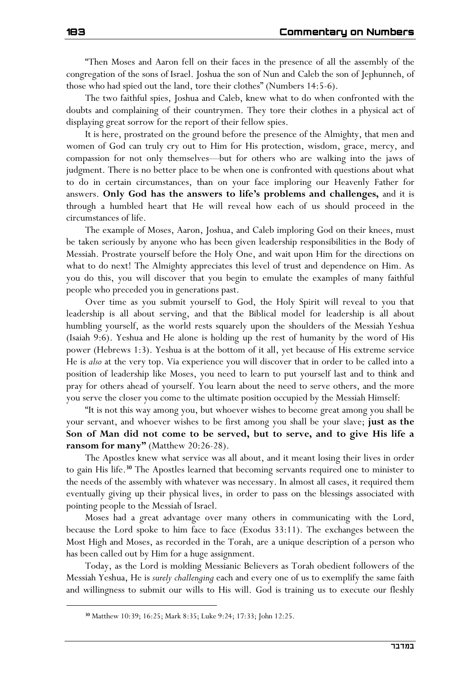"Then Moses and Aaron fell on their faces in the presence of all the assembly of the congregation of the sons of Israel. Joshua the son of Nun and Caleb the son of Jephunneh, of those who had spied out the land, tore their clothes" (Numbers 14:5-6).

The two faithful spies, Joshua and Caleb, knew what to do when confronted with the doubts and complaining of their countrymen. They tore their clothes in a physical act of displaying great sorrow for the report of their fellow spies.

It is here, prostrated on the ground before the presence of the Almighty, that men and women of God can truly cry out to Him for His protection, wisdom, grace, mercy, and compassion for not only themselves—but for others who are walking into the jaws of judgment. There is no better place to be when one is confronted with questions about what to do in certain circumstances, than on your face imploring our Heavenly Father for answers. **Only God has the answers to life's problems and challenges,** and it is through a humbled heart that He will reveal how each of us should proceed in the circumstances of life.

The example of Moses, Aaron, Joshua, and Caleb imploring God on their knees, must be taken seriously by anyone who has been given leadership responsibilities in the Body of Messiah. Prostrate yourself before the Holy One, and wait upon Him for the directions on what to do next! The Almighty appreciates this level of trust and dependence on Him. As you do this, you will discover that you begin to emulate the examples of many faithful people who preceded you in generations past.

Over time as you submit yourself to God, the Holy Spirit will reveal to you that leadership is all about serving, and that the Biblical model for leadership is all about humbling yourself, as the world rests squarely upon the shoulders of the Messiah Yeshua (Isaiah 9:6). Yeshua and He alone is holding up the rest of humanity by the word of His power (Hebrews 1:3). Yeshua is at the bottom of it all, yet because of His extreme service He is *also* at the very top. Via experience you will discover that in order to be called into a position of leadership like Moses, you need to learn to put yourself last and to think and pray for others ahead of yourself. You learn about the need to serve others, and the more you serve the closer you come to the ultimate position occupied by the Messiah Himself:

"It is not this way among you, but whoever wishes to become great among you shall be your servant, and whoever wishes to be first among you shall be your slave; **just as the Son of Man did not come to be served, but to serve, and to give His life a ransom for many"** (Matthew 20:26-28).

The Apostles knew what service was all about, and it meant losing their lives in order to gain His life.**<sup>30</sup>** The Apostles learned that becoming servants required one to minister to the needs of the assembly with whatever was necessary. In almost all cases, it required them eventually giving up their physical lives, in order to pass on the blessings associated with pointing people to the Messiah of Israel.

Moses had a great advantage over many others in communicating with the Lord, because the Lord spoke to him face to face (Exodus 33:11). The exchanges between the Most High and Moses, as recorded in the Torah, are a unique description of a person who has been called out by Him for a huge assignment.

Today, as the Lord is molding Messianic Believers as Torah obedient followers of the Messiah Yeshua, He is *surely challenging* each and every one of us to exemplify the same faith and willingness to submit our wills to His will. God is training us to execute our fleshly

**<sup>30</sup>** Matthew 10:39; 16:25; Mark 8:35; Luke 9:24; 17:33; John 12:25.